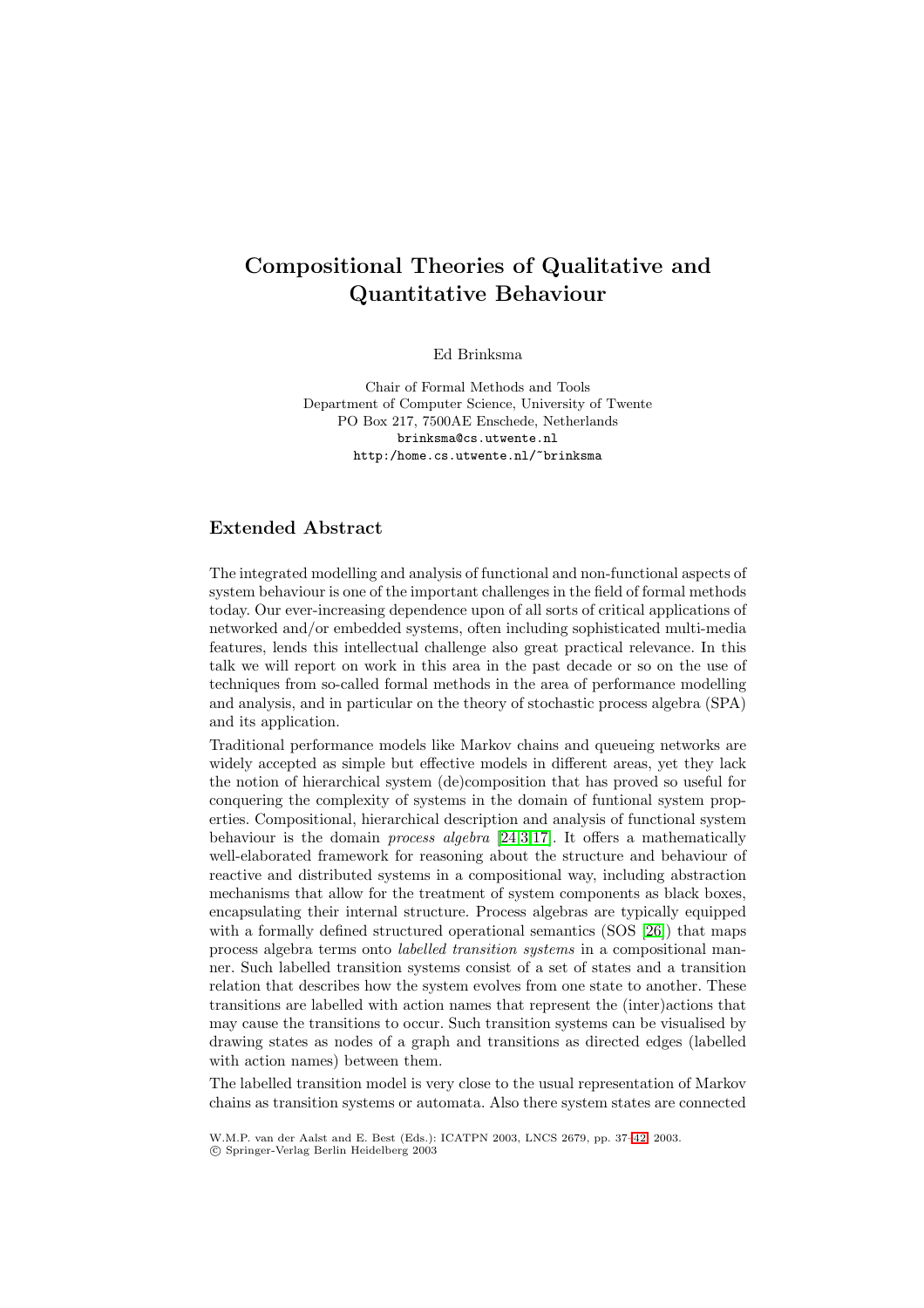## **Compositional Theories of Qualitative and Quantitative Behaviour**

Ed Brinksma

Chair of Formal Methods and Tools Department of Computer Science, University of Twente PO Box 217, 7500AE Enschede, Netherlands brinksma@cs.utwente.nl http:/home.cs.utwente.nl/˜brinksma

## **Extended Abstract**

The integrated modelling and analysis of functional and non-functional aspects of system behaviour is one of the important challenges in the field of formal methods today. Our ever-increasing dependence upon of all sorts of critical applications of networked and/or embedded systems, often including sophisticated multi-media features, lends this intellectual challenge also great practical relevance. In this talk we will report on work in this area in the past decade or so on the use of techniques from so-called formal methods in the area of performance modelling and analysis, and in particular on the theory of stochastic process algebra (SPA) and its application.

Traditional performance models like Markov chains and queueing networks are widely accepted as simple but effective models in different areas, yet they lack the notion of hierarchical system (de)composition that has proved so useful for conquering the complexity of systems in the domain of funtional system properties. Compositional, hierarchical description and analysis of functional system behaviour is the domain process algebra [\[24,](#page-5-0)[3](#page-4-0)[,17\]](#page-5-0). It offers a mathematically well-elaborated framework for reasoning about the structure and behaviour of reactive and distributed systems in a compositional way, including abstraction mechanisms that allow for the treatment of system components as black boxes, encapsulating their internal structure. Process algebras are typically equipped with a formally defined structured operational semantics (SOS [\[26\]](#page-5-0)) that maps process algebra terms onto labelled transition systems in a compositional manner. Such labelled transition systems consist of a set of states and a transition relation that describes how the system evolves from one state to another. These transitions are labelled with action names that represent the (inter)actions that may cause the transitions to occur. Such transition systems can be visualised by drawing states as nodes of a graph and transitions as directed edges (labelled with action names) between them.

The labelled transition model is very close to the usual representation of Markov chains as transition systems or automata. Also there system states are connected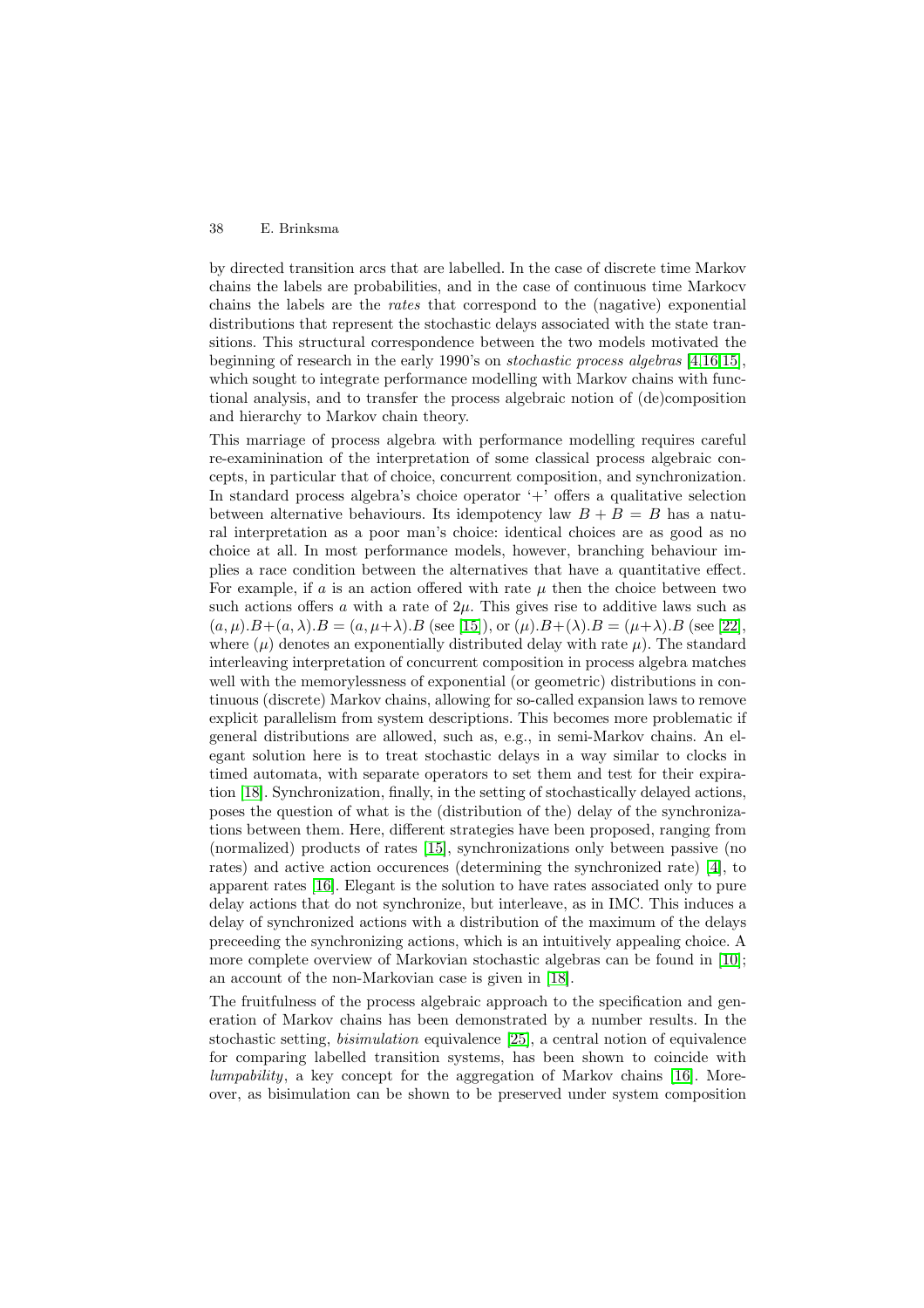by directed transition arcs that are labelled. In the case of discrete time Markov chains the labels are probabilities, and in the case of continuous time Markocv chains the labels are the rates that correspond to the (nagative) exponential distributions that represent the stochastic delays associated with the state transitions. This structural correspondence between the two models motivated the beginning of research in the early 1990's on stochastic process algebras [\[4,](#page-4-0)[16,15\]](#page-5-0), which sought to integrate performance modelling with Markov chains with functional analysis, and to transfer the process algebraic notion of (de)composition and hierarchy to Markov chain theory.

This marriage of process algebra with performance modelling requires careful re-examinination of the interpretation of some classical process algebraic concepts, in particular that of choice, concurrent composition, and synchronization. In standard process algebra's choice operator '+' offers a qualitative selection between alternative behaviours. Its idempotency law  $B + B = B$  has a natural interpretation as a poor man's choice: identical choices are as good as no choice at all. In most performance models, however, branching behaviour implies a race condition between the alternatives that have a quantitative effect. For example, if a is an action offered with rate  $\mu$  then the choice between two such actions offers a with a rate of  $2\mu$ . This gives rise to additive laws such as  $(a, \mu).B+(a, \lambda).B=(a, \mu+\lambda).B$  (see [\[15\]](#page-5-0)), or  $(\mu).B+(\lambda).B=(\mu+\lambda).B$  (see [\[22\]](#page-5-0), where  $(\mu)$  denotes an exponentially distributed delay with rate  $\mu$ ). The standard interleaving interpretation of concurrent composition in process algebra matches well with the memorylessness of exponential (or geometric) distributions in continuous (discrete) Markov chains, allowing for so-called expansion laws to remove explicit parallelism from system descriptions. This becomes more problematic if general distributions are allowed, such as, e.g., in semi-Markov chains. An elegant solution here is to treat stochastic delays in a way similar to clocks in timed automata, with separate operators to set them and test for their expiration [\[18\]](#page-5-0). Synchronization, finally, in the setting of stochastically delayed actions, poses the question of what is the (distribution of the) delay of the synchronizations between them. Here, different strategies have been proposed, ranging from (normalized) products of rates [\[15\]](#page-5-0), synchronizations only between passive (no rates) and active action occurences (determining the synchronized rate) [\[4\]](#page-4-0), to apparent rates [\[16\]](#page-5-0). Elegant is the solution to have rates associated only to pure delay actions that do not synchronize, but interleave, as in IMC. This induces a delay of synchronized actions with a distribution of the maximum of the delays preceeding the synchronizing actions, which is an intuitively appealing choice. A more complete overview of Markovian stochastic algebras can be found in [\[10\]](#page-4-0); an account of the non-Markovian case is given in [\[18\]](#page-5-0).

The fruitfulness of the process algebraic approach to the specification and generation of Markov chains has been demonstrated by a number results. In the stochastic setting, bisimulation equivalence [\[25\]](#page-5-0), a central notion of equivalence for comparing labelled transition systems, has been shown to coincide with lumpability, a key concept for the aggregation of Markov chains [\[16\]](#page-5-0). Moreover, as bisimulation can be shown to be preserved under system composition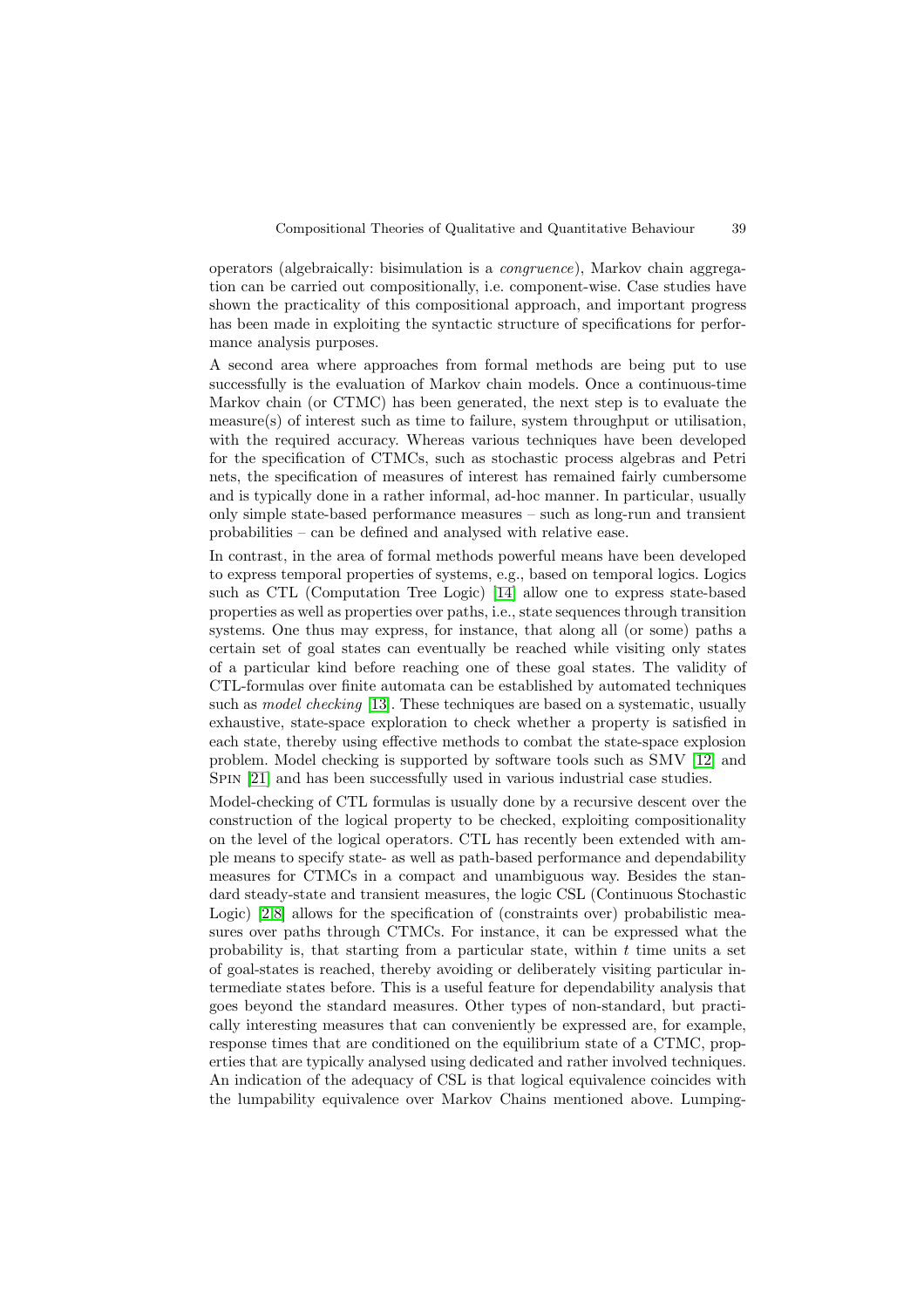operators (algebraically: bisimulation is a congruence), Markov chain aggregation can be carried out compositionally, i.e. component-wise. Case studies have shown the practicality of this compositional approach, and important progress has been made in exploiting the syntactic structure of specifications for performance analysis purposes.

A second area where approaches from formal methods are being put to use successfully is the evaluation of Markov chain models. Once a continuous-time Markov chain (or CTMC) has been generated, the next step is to evaluate the measure(s) of interest such as time to failure, system throughput or utilisation, with the required accuracy. Whereas various techniques have been developed for the specification of CTMCs, such as stochastic process algebras and Petri nets, the specification of measures of interest has remained fairly cumbersome and is typically done in a rather informal, ad-hoc manner. In particular, usually only simple state-based performance measures – such as long-run and transient probabilities – can be defined and analysed with relative ease.

In contrast, in the area of formal methods powerful means have been developed to express temporal properties of systems, e.g., based on temporal logics. Logics such as CTL (Computation Tree Logic) [\[14\]](#page-5-0) allow one to express state-based properties as well as properties over paths, i.e., state sequences through transition systems. One thus may express, for instance, that along all (or some) paths a certain set of goal states can eventually be reached while visiting only states of a particular kind before reaching one of these goal states. The validity of CTL-formulas over finite automata can be established by automated techniques such as *model checking* [\[13\]](#page-5-0). These techniques are based on a systematic, usually exhaustive, state-space exploration to check whether a property is satisfied in each state, thereby using effective methods to combat the state-space explosion problem. Model checking is supported by software tools such as SMV [\[12\]](#page-4-0) and Spin [\[21\]](#page-5-0) and has been successfully used in various industrial case studies.

Model-checking of CTL formulas is usually done by a recursive descent over the construction of the logical property to be checked, exploiting compositionality on the level of the logical operators. CTL has recently been extended with ample means to specify state- as well as path-based performance and dependability measures for CTMCs in a compact and unambiguous way. Besides the standard steady-state and transient measures, the logic CSL (Continuous Stochastic Logic) [\[2,8\]](#page-4-0) allows for the specification of (constraints over) probabilistic measures over paths through CTMCs. For instance, it can be expressed what the probability is, that starting from a particular state, within  $t$  time units a set of goal-states is reached, thereby avoiding or deliberately visiting particular intermediate states before. This is a useful feature for dependability analysis that goes beyond the standard measures. Other types of non-standard, but practically interesting measures that can conveniently be expressed are, for example, response times that are conditioned on the equilibrium state of a CTMC, properties that are typically analysed using dedicated and rather involved techniques. An indication of the adequacy of CSL is that logical equivalence coincides with the lumpability equivalence over Markov Chains mentioned above. Lumping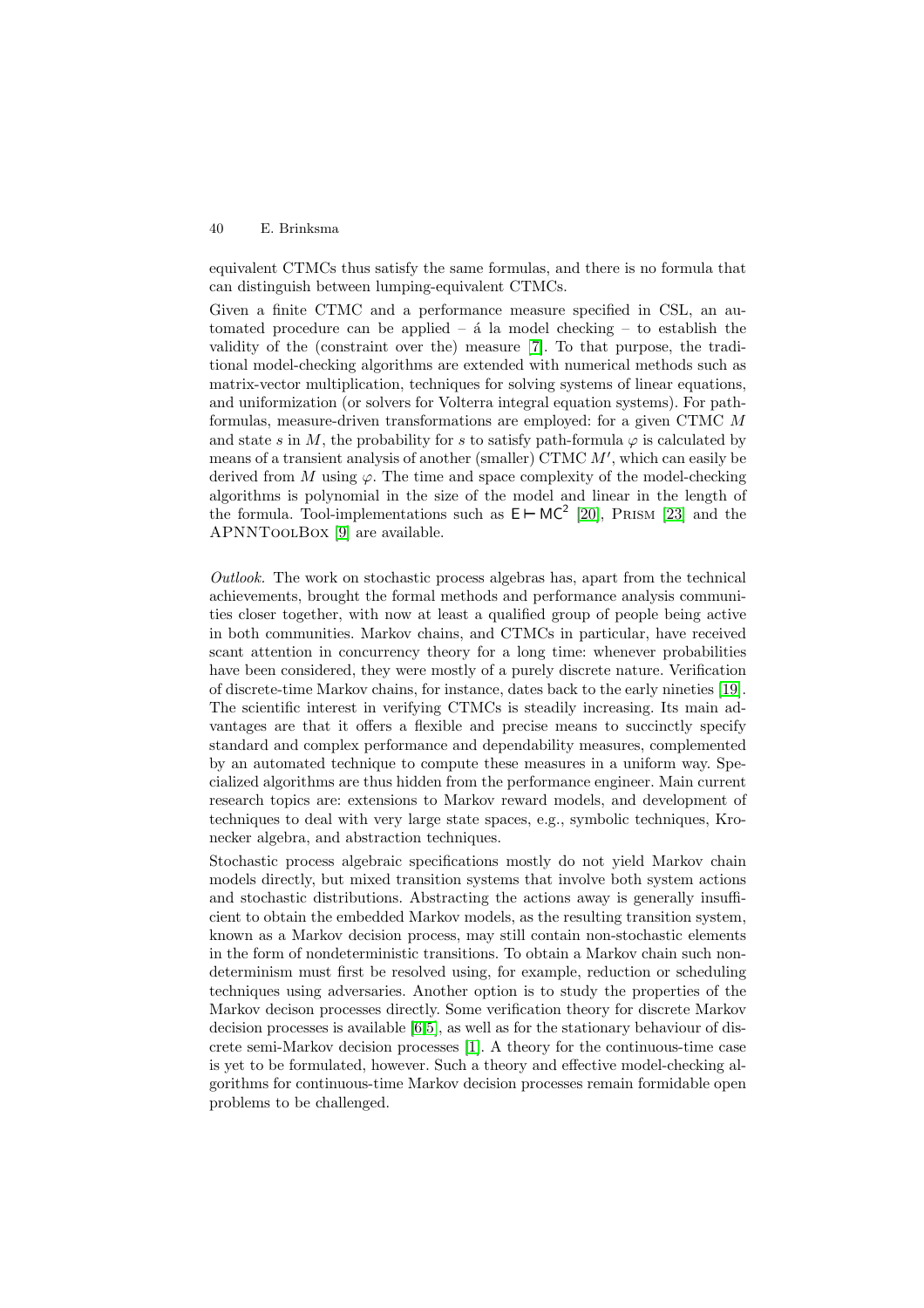equivalent CTMCs thus satisfy the same formulas, and there is no formula that can distinguish between lumping-equivalent CTMCs.

Given a finite CTMC and a performance measure specified in CSL, an automated procedure can be applied –  $\acute{a}$  la model checking – to establish the validity of the (constraint over the) measure [\[7\]](#page-4-0). To that purpose, the traditional model-checking algorithms are extended with numerical methods such as matrix-vector multiplication, techniques for solving systems of linear equations, and uniformization (or solvers for Volterra integral equation systems). For pathformulas, measure-driven transformations are employed: for a given CTMC M and state s in M, the probability for s to satisfy path-formula  $\varphi$  is calculated by means of a transient analysis of another (smaller) CTMC  $M'$ , which can easily be derived from M using  $\varphi$ . The time and space complexity of the model-checking algorithms is polynomial in the size of the model and linear in the length of the formula. Tool-implementations such as  $E \vdash MC^2$  [\[20\]](#page-5-0), PRISM [\[23\]](#page-5-0) and the APNNToolBox [\[9\]](#page-4-0) are available.

Outlook. The work on stochastic process algebras has, apart from the technical achievements, brought the formal methods and performance analysis communities closer together, with now at least a qualified group of people being active in both communities. Markov chains, and CTMCs in particular, have received scant attention in concurrency theory for a long time: whenever probabilities have been considered, they were mostly of a purely discrete nature. Verification of discrete-time Markov chains, for instance, dates back to the early nineties [\[19\]](#page-5-0). The scientific interest in verifying CTMCs is steadily increasing. Its main advantages are that it offers a flexible and precise means to succinctly specify standard and complex performance and dependability measures, complemented by an automated technique to compute these measures in a uniform way. Specialized algorithms are thus hidden from the performance engineer. Main current research topics are: extensions to Markov reward models, and development of techniques to deal with very large state spaces, e.g., symbolic techniques, Kronecker algebra, and abstraction techniques.

Stochastic process algebraic specifications mostly do not yield Markov chain models directly, but mixed transition systems that involve both system actions and stochastic distributions. Abstracting the actions away is generally insufficient to obtain the embedded Markov models, as the resulting transition system, known as a Markov decision process, may still contain non-stochastic elements in the form of nondeterministic transitions. To obtain a Markov chain such nondeterminism must first be resolved using, for example, reduction or scheduling techniques using adversaries. Another option is to study the properties of the Markov decison processes directly. Some verification theory for discrete Markov decision processes is available [\[6,5\]](#page-4-0), as well as for the stationary behaviour of discrete semi-Markov decision processes [\[1\]](#page-4-0). A theory for the continuous-time case is yet to be formulated, however. Such a theory and effective model-checking algorithms for continuous-time Markov decision processes remain formidable open problems to be challenged.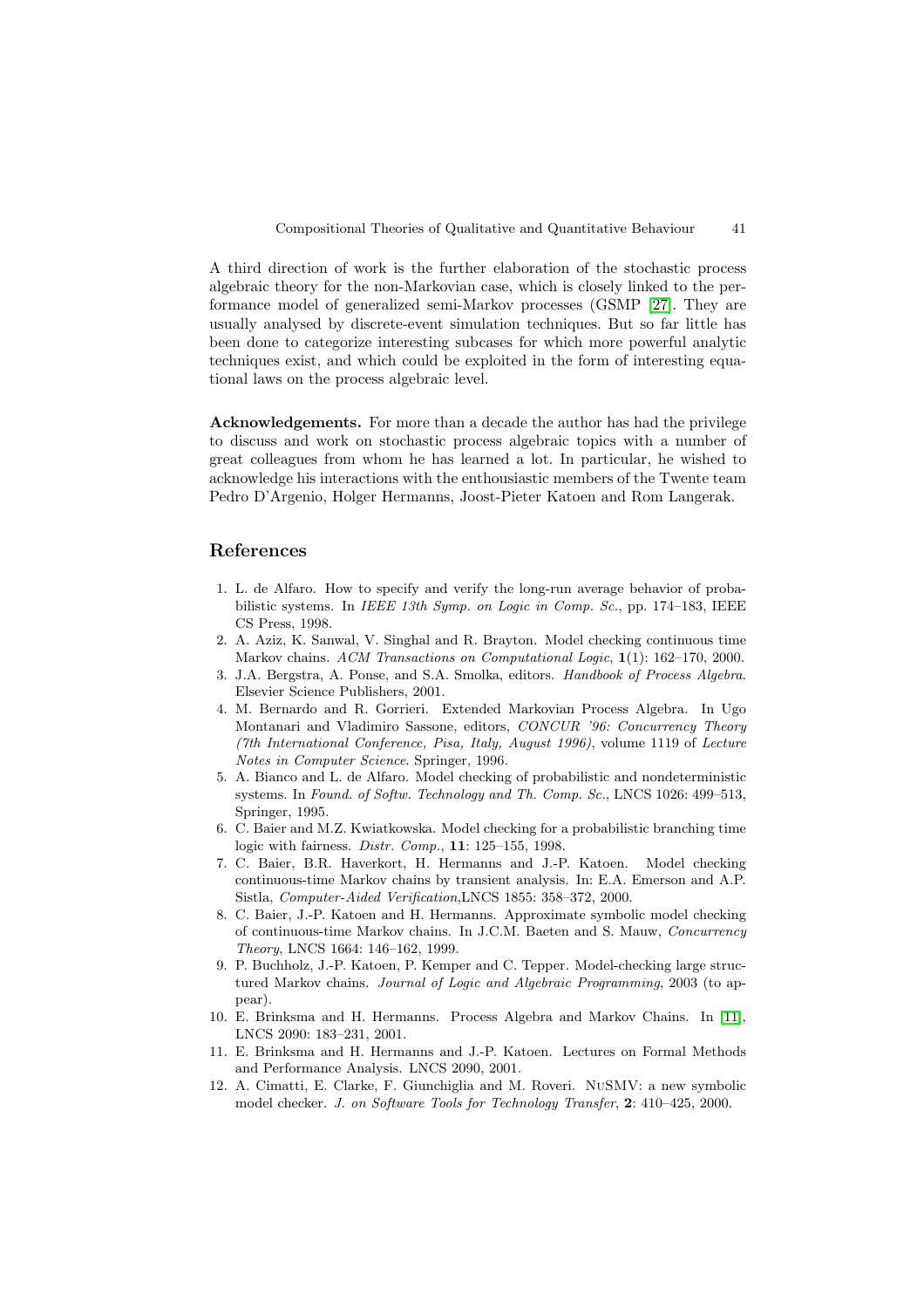<span id="page-4-0"></span>A third direction of work is the further elaboration of the stochastic process algebraic theory for the non-Markovian case, which is closely linked to the performance model of generalized semi-Markov processes (GSMP [\[27\]](#page-5-0). They are usually analysed by discrete-event simulation techniques. But so far little has been done to categorize interesting subcases for which more powerful analytic techniques exist, and which could be exploited in the form of interesting equational laws on the process algebraic level.

**Acknowledgements.** For more than a decade the author has had the privilege to discuss and work on stochastic process algebraic topics with a number of great colleagues from whom he has learned a lot. In particular, he wished to acknowledge his interactions with the enthousiastic members of the Twente team Pedro D'Argenio, Holger Hermanns, Joost-Pieter Katoen and Rom Langerak.

## **References**

- 1. L. de Alfaro. How to specify and verify the long-run average behavior of probabilistic systems. In IEEE 13th Symp. on Logic in Comp. Sc., pp. 174–183, IEEE CS Press, 1998.
- 2. A. Aziz, K. Sanwal, V. Singhal and R. Brayton. Model checking continuous time Markov chains. ACM Transactions on Computational Logic, **1**(1): 162–170, 2000.
- 3. J.A. Bergstra, A. Ponse, and S.A. Smolka, editors. Handbook of Process Algebra. Elsevier Science Publishers, 2001.
- 4. M. Bernardo and R. Gorrieri. Extended Markovian Process Algebra. In Ugo Montanari and Vladimiro Sassone, editors, CONCUR '96: Concurrency Theory (7th International Conference, Pisa, Italy, August 1996), volume 1119 of Lecture Notes in Computer Science. Springer, 1996.
- 5. A. Bianco and L. de Alfaro. Model checking of probabilistic and nondeterministic systems. In Found. of Softw. Technology and Th. Comp. Sc., LNCS 1026: 499–513, Springer, 1995.
- 6. C. Baier and M.Z. Kwiatkowska. Model checking for a probabilistic branching time logic with fairness. Distr. Comp., **11**: 125–155, 1998.
- 7. C. Baier, B.R. Haverkort, H. Hermanns and J.-P. Katoen. Model checking continuous-time Markov chains by transient analysis. In: E.A. Emerson and A.P. Sistla, Computer-Aided Verification,LNCS 1855: 358–372, 2000.
- 8. C. Baier, J.-P. Katoen and H. Hermanns. Approximate symbolic model checking of continuous-time Markov chains. In J.C.M. Baeten and S. Mauw, Concurrency Theory, LNCS 1664: 146–162, 1999.
- 9. P. Buchholz, J.-P. Katoen, P. Kemper and C. Tepper. Model-checking large structured Markov chains. Journal of Logic and Algebraic Programming, 2003 (to appear).
- 10. E. Brinksma and H. Hermanns. Process Algebra and Markov Chains. In [11], LNCS 2090: 183–231, 2001.
- 11. E. Brinksma and H. Hermanns and J.-P. Katoen. Lectures on Formal Methods and Performance Analysis. LNCS 2090, 2001.
- 12. A. Cimatti, E. Clarke, F. Giunchiglia and M. Roveri. NuSMV: a new symbolic model checker. J. on Software Tools for Technology Transfer, **2**: 410–425, 2000.